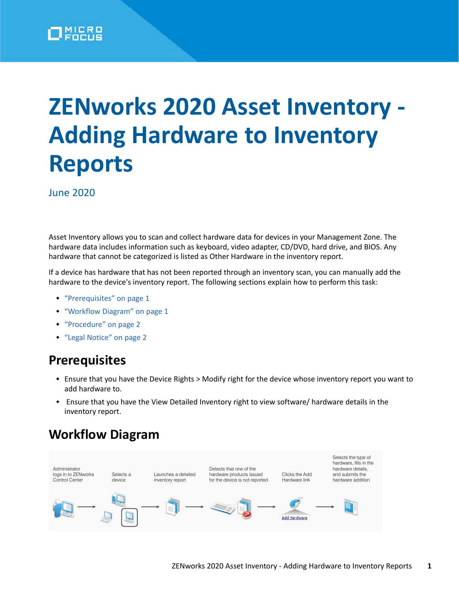

# **ZENworks 2020 Asset Inventory - Adding Hardware to Inventory Reports**

June 2020

Asset Inventory allows you to scan and collect hardware data for devices in your Management Zone. The hardware data includes information such as keyboard, video adapter, CD/DVD, hard drive, and BIOS. Any hardware that cannot be categorized is listed as Other Hardware in the inventory report.

If a device has hardware that has not been reported through an inventory scan, you can manually add the hardware to the device's inventory report. The following sections explain how to perform this task:

- ["Prerequisites" on page 1](#page-0-0)
- ["Workflow Diagram" on page 1](#page-0-1)
- ["Procedure" on page 2](#page-1-0)
- ["Legal Notice" on page 2](#page-1-1)

#### <span id="page-0-0"></span>**Prerequisites**

- Ensure that you have the Device Rights > Modify right for the device whose inventory report you want to add hardware to.
- Ensure that you have the View Detailed Inventory right to view software/ hardware details in the inventory report.

### <span id="page-0-1"></span>**Workflow Diagram**